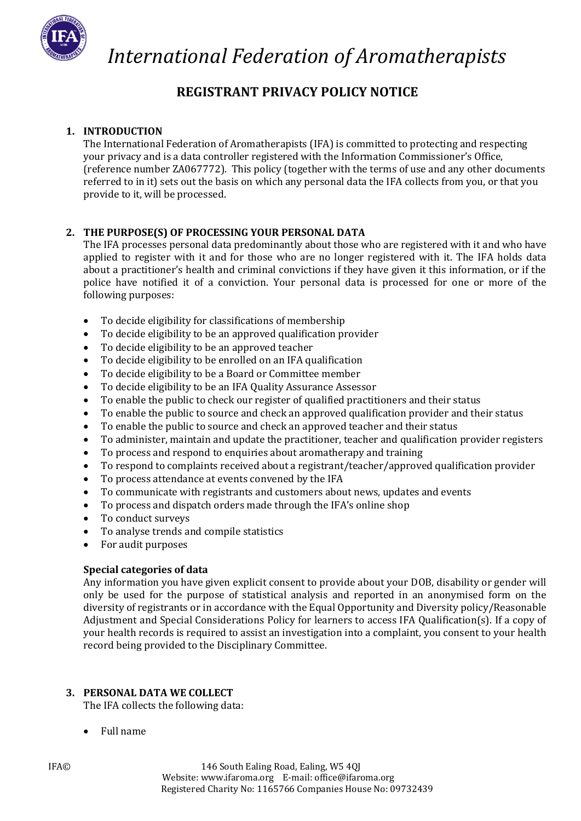

### **REGISTRANT PRIVACY POLICY NOTICE**

### **1. INTRODUCTION**

The International Federation of Aromatherapists (IFA) is committed to protecting and respecting your privacy and is a data controller registered with the Information Commissioner's Office, (reference number ZA067772). This policy (together with the terms of use and any other documents referred to in it) sets out the basis on which any personal data the IFA collects from you, or that you provide to it, will be processed.

### **2. THE PURPOSE(S) OF PROCESSING YOUR PERSONAL DATA**

The IFA processes personal data predominantly about those who are registered with it and who have applied to register with it and for those who are no longer registered with it. The IFA holds data about a practitioner's health and criminal convictions if they have given it this information, or if the police have notified it of a conviction. Your personal data is processed for one or more of the following purposes:

- To decide eligibility for classifications of membership
- To decide eligibility to be an approved qualification provider
- To decide eligibility to be an approved teacher
- To decide eligibility to be enrolled on an IFA qualification
- To decide eligibility to be a Board or Committee member
- To decide eligibility to be an IFA Quality Assurance Assessor
- To enable the public to check our register of qualified practitioners and their status
- To enable the public to source and check an approved qualification provider and their status
- To enable the public to source and check an approved teacher and their status
- To administer, maintain and update the practitioner, teacher and qualification provider registers
- To process and respond to enquiries about aromatherapy and training
- To respond to complaints received about a registrant/teacher/approved qualification provider
- To process attendance at events convened by the IFA
- To communicate with registrants and customers about news, updates and events
- To process and dispatch orders made through the IFA's online shop
- To conduct surveys
- To analyse trends and compile statistics
- For audit purposes

### **Special categories of data**

Any information you have given explicit consent to provide about your DOB, disability or gender will only be used for the purpose of statistical analysis and reported in an anonymised form on the diversity of registrants or in accordance with the Equal Opportunity and Diversity policy/Reasonable Adjustment and Special Considerations Policy for learners to access IFA Qualification(s). If a copy of your health records is required to assist an investigation into a complaint, you consent to your health record being provided to the Disciplinary Committee.

### **3. PERSONAL DATA WE COLLECT**

The IFA collects the following data:

• Full name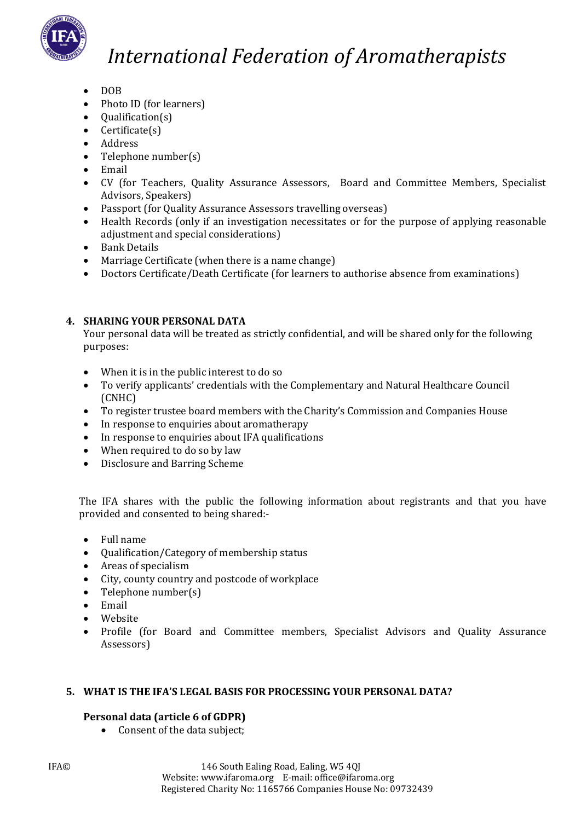

- DOB
- Photo ID (for learners)
- Qualification(s)
- Certificate(s)
- Address
- Telephone number(s)
- Email
- CV (for Teachers, Quality Assurance Assessors, Board and Committee Members, Specialist Advisors, Speakers)
- Passport (for Quality Assurance Assessors travelling overseas)
- Health Records (only if an investigation necessitates or for the purpose of applying reasonable adjustment and special considerations)
- Bank Details
- Marriage Certificate (when there is a name change)
- Doctors Certificate/Death Certificate (for learners to authorise absence from examinations)

### **4. SHARING YOUR PERSONAL DATA**

Your personal data will be treated as strictly confidential, and will be shared only for the following purposes:

- When it is in the public interest to do so
- To verify applicants' credentials with the Complementary and Natural Healthcare Council (CNHC)
- To register trustee board members with the Charity's Commission and Companies House
- In response to enquiries about aromatherapy
- In response to enquiries about IFA qualifications
- When required to do so by law
- Disclosure and Barring Scheme

The IFA shares with the public the following information about registrants and that you have provided and consented to being shared:-

- Full name
- Qualification/Category of membership status
- Areas of specialism
- City, county country and postcode of workplace
- Telephone number(s)
- Email
- **Website**
- Profile (for Board and Committee members, Specialist Advisors and Quality Assurance Assessors)

### **5. WHAT IS THE IFA'S LEGAL BASIS FOR PROCESSING YOUR PERSONAL DATA?**

### **Personal data (article 6 of GDPR)**

• Consent of the data subject;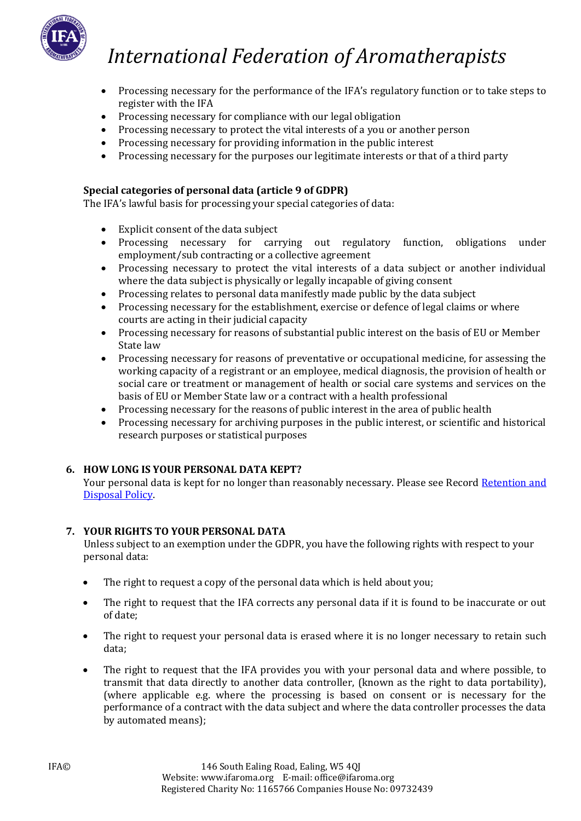

- Processing necessary for the performance of the IFA's regulatory function or to take steps to register with the IFA
- Processing necessary for compliance with our legal obligation
- Processing necessary to protect the vital interests of a you or another person
- Processing necessary for providing information in the public interest
- Processing necessary for the purposes our legitimate interests or that of a third party

### **Special categories of personal data (article 9 of GDPR)**

The IFA's lawful basis for processing your special categories of data:

- Explicit consent of the data subject
- Processing necessary for carrying out regulatory function, obligations under employment/sub contracting or a collective agreement
- Processing necessary to protect the vital interests of a data subject or another individual where the data subject is physically or legally incapable of giving consent
- Processing relates to personal data manifestly made public by the data subject
- Processing necessary for the establishment, exercise or defence of legal claims or where courts are acting in their judicial capacity
- Processing necessary for reasons of substantial public interest on the basis of EU or Member State law
- Processing necessary for reasons of preventative or occupational medicine, for assessing the working capacity of a registrant or an employee, medical diagnosis, the provision of health or social care or treatment or management of health or social care systems and services on the basis of EU or Member State law or a contract with a health professional
- Processing necessary for the reasons of public interest in the area of public health
- Processing necessary for archiving purposes in the public interest, or scientific and historical research purposes or statistical purposes

### **6. HOW LONG IS YOUR PERSONAL DATA KEPT?**

Your personal data is kept for no longer than reasonably necessary. Please see Record Retention and [Disposal Policy.](http://newsite.ifaroma.org/application/files/9715/3554/3599/IFA_RECORD_RETENTION_AND_DISPOSAL_POLICY.pdf)

### **7. YOUR RIGHTS TO YOUR PERSONAL DATA**

Unless subject to an exemption under the GDPR, you have the following rights with respect to your personal data:

- The right to request a copy of the personal data which is held about you;
- The right to request that the IFA corrects any personal data if it is found to be inaccurate or out of date;
- The right to request your personal data is erased where it is no longer necessary to retain such data;
- The right to request that the IFA provides you with your personal data and where possible, to transmit that data directly to another data controller, (known as the right to data portability), (where applicable e.g. where the processing is based on consent or is necessary for the performance of a contract with the data subject and where the data controller processes the data by automated means);